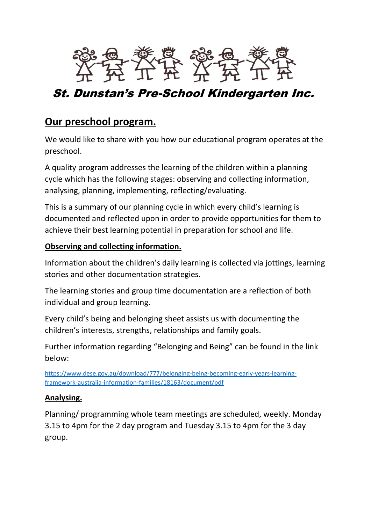

# St. Dunstan's Pre-School Kindergarten Inc.

## **Our preschool program.**

We would like to share with you how our educational program operates at the preschool.

A quality program addresses the learning of the children within a planning cycle which has the following stages: observing and collecting information, analysing, planning, implementing, reflecting/evaluating.

This is a summary of our planning cycle in which every child's learning is documented and reflected upon in order to provide opportunities for them to achieve their best learning potential in preparation for school and life.

#### **Observing and collecting information.**

Information about the children's daily learning is collected via jottings, learning stories and other documentation strategies.

The learning stories and group time documentation are a reflection of both individual and group learning.

Every child's being and belonging sheet assists us with documenting the children's interests, strengths, relationships and family goals.

Further information regarding "Belonging and Being" can be found in the link below:

[https://www.dese.gov.au/download/777/belonging-being-becoming-early-years-learning](https://www.dese.gov.au/download/777/belonging-being-becoming-early-years-learning-framework-australia-information-families/18163/document/pdf)[framework-australia-information-families/18163/document/pdf](https://www.dese.gov.au/download/777/belonging-being-becoming-early-years-learning-framework-australia-information-families/18163/document/pdf)

### **Analysing.**

Planning/ programming whole team meetings are scheduled, weekly. Monday 3.15 to 4pm for the 2 day program and Tuesday 3.15 to 4pm for the 3 day group.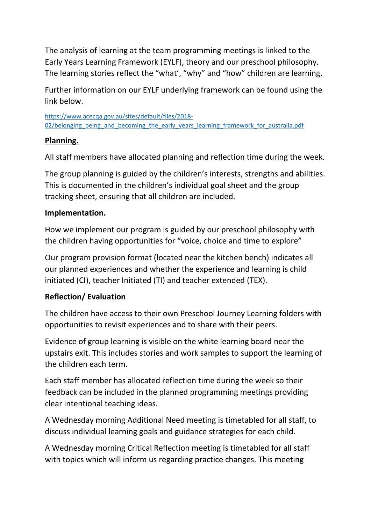The analysis of learning at the team programming meetings is linked to the Early Years Learning Framework (EYLF), theory and our preschool philosophy. The learning stories reflect the "what', "why" and "how" children are learning.

Further information on our EYLF underlying framework can be found using the link below.

[https://www.acecqa.gov.au/sites/default/files/2018-](https://www.acecqa.gov.au/sites/default/files/2018-02/belonging_being_and_becoming_the_early_years_learning_framework_for_australia.pdf) [02/belonging\\_being\\_and\\_becoming\\_the\\_early\\_years\\_learning\\_framework\\_for\\_australia.pdf](https://www.acecqa.gov.au/sites/default/files/2018-02/belonging_being_and_becoming_the_early_years_learning_framework_for_australia.pdf)

### **Planning.**

All staff members have allocated planning and reflection time during the week.

The group planning is guided by the children's interests, strengths and abilities. This is documented in the children's individual goal sheet and the group tracking sheet, ensuring that all children are included.

### **Implementation.**

How we implement our program is guided by our preschool philosophy with the children having opportunities for "voice, choice and time to explore"

Our program provision format (located near the kitchen bench) indicates all our planned experiences and whether the experience and learning is child initiated (CI), teacher Initiated (TI) and teacher extended (TEX).

### **Reflection/ Evaluation**

The children have access to their own Preschool Journey Learning folders with opportunities to revisit experiences and to share with their peers.

Evidence of group learning is visible on the white learning board near the upstairs exit. This includes stories and work samples to support the learning of the children each term.

Each staff member has allocated reflection time during the week so their feedback can be included in the planned programming meetings providing clear intentional teaching ideas.

A Wednesday morning Additional Need meeting is timetabled for all staff, to discuss individual learning goals and guidance strategies for each child.

A Wednesday morning Critical Reflection meeting is timetabled for all staff with topics which will inform us regarding practice changes. This meeting